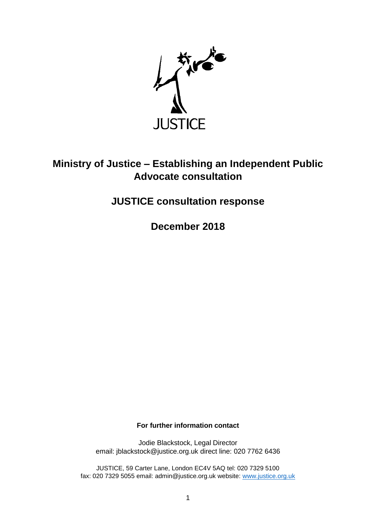

## **Ministry of Justice – Establishing an Independent Public Advocate consultation**

## **JUSTICE consultation response**

**December 2018**

**For further information contact**

Jodie Blackstock, Legal Director email: jblackstock@justice.org.uk direct line: 020 7762 6436

JUSTICE, 59 Carter Lane, London EC4V 5AQ tel: 020 7329 5100 fax: 020 7329 5055 email: admin@justice.org.uk website: [www.justice.org.uk](http://www.justice.org.uk/)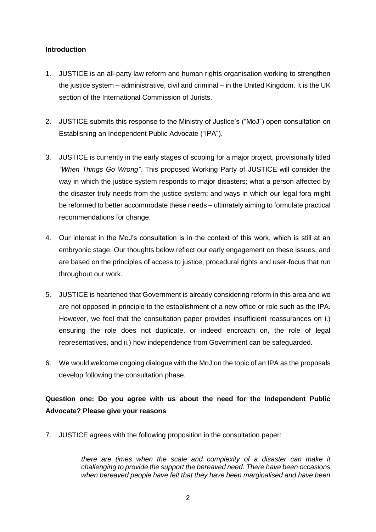## **Introduction**

- 1. JUSTICE is an all-party law reform and human rights organisation working to strengthen the justice system – administrative, civil and criminal – in the United Kingdom. It is the UK section of the International Commission of Jurists.
- 2. JUSTICE submits this response to the Ministry of Justice's ("MoJ") open consultation on Establishing an Independent Public Advocate ("IPA").
- 3. JUSTICE is currently in the early stages of scoping for a major project, provisionally titled *"When Things Go Wrong"*. This proposed Working Party of JUSTICE will consider the way in which the justice system responds to major disasters; what a person affected by the disaster truly needs from the justice system; and ways in which our legal fora might be reformed to better accommodate these needs – ultimately aiming to formulate practical recommendations for change.
- 4. Our interest in the MoJ's consultation is in the context of this work, which is still at an embryonic stage. Our thoughts below reflect our early engagement on these issues, and are based on the principles of access to justice, procedural rights and user-focus that run throughout our work.
- 5. JUSTICE is heartened that Government is already considering reform in this area and we are not opposed in principle to the establishment of a new office or role such as the IPA. However, we feel that the consultation paper provides insufficient reassurances on i.) ensuring the role does not duplicate, or indeed encroach on, the role of legal representatives, and ii.) how independence from Government can be safeguarded.
- 6. We would welcome ongoing dialogue with the MoJ on the topic of an IPA as the proposals develop following the consultation phase.

**Question one: Do you agree with us about the need for the Independent Public Advocate? Please give your reasons**

7. JUSTICE agrees with the following proposition in the consultation paper:

*there are times when the scale and complexity of a disaster can make it challenging to provide the support the bereaved need. There have been occasions when bereaved people have felt that they have been marginalised and have been*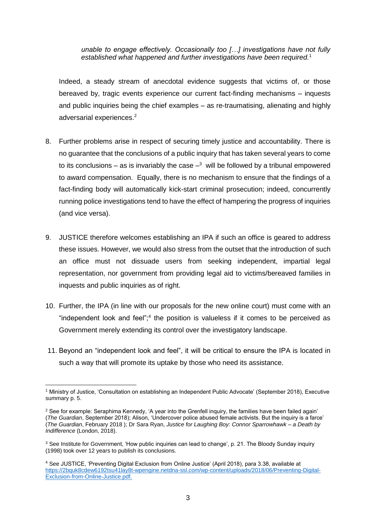*unable to engage effectively. Occasionally too […] investigations have not fully established what happened and further investigations have been required.*<sup>1</sup>

Indeed, a steady stream of anecdotal evidence suggests that victims of, or those bereaved by, tragic events experience our current fact-finding mechanisms – inquests and public inquiries being the chief examples – as re-traumatising, alienating and highly adversarial experiences.<sup>2</sup>

- 8. Further problems arise in respect of securing timely justice and accountability. There is no guarantee that the conclusions of a public inquiry that has taken several years to come to its conclusions – as is invariably the case  $-3$  will be followed by a tribunal empowered to award compensation. Equally, there is no mechanism to ensure that the findings of a fact-finding body will automatically kick-start criminal prosecution; indeed, concurrently running police investigations tend to have the effect of hampering the progress of inquiries (and vice versa).
- 9. JUSTICE therefore welcomes establishing an IPA if such an office is geared to address these issues. However, we would also stress from the outset that the introduction of such an office must not dissuade users from seeking independent, impartial legal representation, nor government from providing legal aid to victims/bereaved families in inquests and public inquiries as of right.
- 10. Further, the IPA (in line with our proposals for the new online court) must come with an "independent look and feel"; $4$  the position is valueless if it comes to be perceived as Government merely extending its control over the investigatory landscape.
- 11. Beyond an "independent look and feel", it will be critical to ensure the IPA is located in such a way that will promote its uptake by those who need its assistance.

**<sup>.</sup>** <sup>1</sup> Ministry of Justice, 'Consultation on establishing an Independent Public Advocate' (September 2018), Executive summary p. 5.

<sup>&</sup>lt;sup>2</sup> See for example: Seraphima Kennedy, 'A year into the Grenfell inquiry, the families have been failed again' (*The Guardian*, September 2018); Alison, 'Undercover police abused female activists. But the inquiry is a farce' (*The Guardian*, February 2018 ); Dr Sara Ryan, *Justice for Laughing Boy: Connor Sparrowhawk – a Death by Indifference* (London, 2018).

<sup>&</sup>lt;sup>3</sup> See Institute for Government, 'How public inquiries can lead to change', p. 21. The Bloody Sunday inquiry (1998) took over 12 years to publish its conclusions.

<sup>4</sup> See JUSTICE, 'Preventing Digital Exclusion from Online Justice' (April 2018), para 3.38, available at [https://2bquk8cdew6192tsu41lay8t-wpengine.netdna-ssl.com/wp-content/uploads/2018/06/Preventing-Digital-](https://2bquk8cdew6192tsu41lay8t-wpengine.netdna-ssl.com/wp-content/uploads/2018/06/Preventing-Digital-Exclusion-from-Online-Justice.pdf)[Exclusion-from-Online-Justice.pdf.](https://2bquk8cdew6192tsu41lay8t-wpengine.netdna-ssl.com/wp-content/uploads/2018/06/Preventing-Digital-Exclusion-from-Online-Justice.pdf)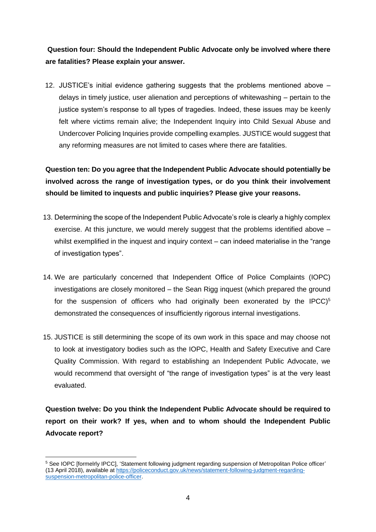**Question four: Should the Independent Public Advocate only be involved where there are fatalities? Please explain your answer.**

12. JUSTICE's initial evidence gathering suggests that the problems mentioned above – delays in timely justice, user alienation and perceptions of whitewashing – pertain to the justice system's response to all types of tragedies. Indeed, these issues may be keenly felt where victims remain alive; the Independent Inquiry into Child Sexual Abuse and Undercover Policing Inquiries provide compelling examples. JUSTICE would suggest that any reforming measures are not limited to cases where there are fatalities.

**Question ten: Do you agree that the Independent Public Advocate should potentially be involved across the range of investigation types, or do you think their involvement should be limited to inquests and public inquiries? Please give your reasons.** 

- 13. Determining the scope of the Independent Public Advocate's role is clearly a highly complex exercise. At this juncture, we would merely suggest that the problems identified above – whilst exemplified in the inquest and inquiry context – can indeed materialise in the "range" of investigation types".
- 14. We are particularly concerned that Independent Office of Police Complaints (IOPC) investigations are closely monitored – the Sean Rigg inquest (which prepared the ground for the suspension of officers who had originally been exonerated by the IPCC)<sup>5</sup> demonstrated the consequences of insufficiently rigorous internal investigations.
- 15. JUSTICE is still determining the scope of its own work in this space and may choose not to look at investigatory bodies such as the IOPC, Health and Safety Executive and Care Quality Commission. With regard to establishing an Independent Public Advocate, we would recommend that oversight of "the range of investigation types" is at the very least evaluated.

**Question twelve: Do you think the Independent Public Advocate should be required to report on their work? If yes, when and to whom should the Independent Public Advocate report?**

**<sup>.</sup>** <sup>5</sup> See IOPC [formelrly IPCC], 'Statement following judgment regarding suspension of Metropolitan Police officer' (13 April 2018), available at [https://policeconduct.gov.uk/news/statement-following-judgment-regarding](https://policeconduct.gov.uk/news/statement-following-judgment-regarding-suspension-metropolitan-police-officer)[suspension-metropolitan-police-officer.](https://policeconduct.gov.uk/news/statement-following-judgment-regarding-suspension-metropolitan-police-officer)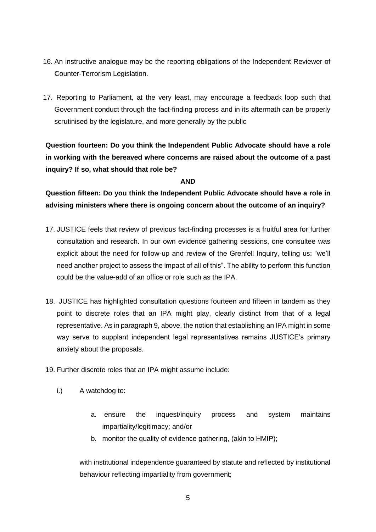- 16. An instructive analogue may be the reporting obligations of the Independent Reviewer of Counter-Terrorism Legislation.
- 17. Reporting to Parliament, at the very least, may encourage a feedback loop such that Government conduct through the fact-finding process and in its aftermath can be properly scrutinised by the legislature, and more generally by the public

**Question fourteen: Do you think the Independent Public Advocate should have a role in working with the bereaved where concerns are raised about the outcome of a past inquiry? If so, what should that role be?**

## **AND**

**Question fifteen: Do you think the Independent Public Advocate should have a role in advising ministers where there is ongoing concern about the outcome of an inquiry?**

- 17. JUSTICE feels that review of previous fact-finding processes is a fruitful area for further consultation and research. In our own evidence gathering sessions, one consultee was explicit about the need for follow-up and review of the Grenfell Inquiry, telling us: "we'll need another project to assess the impact of all of this". The ability to perform this function could be the value-add of an office or role such as the IPA.
- 18. JUSTICE has highlighted consultation questions fourteen and fifteen in tandem as they point to discrete roles that an IPA might play, clearly distinct from that of a legal representative. As in paragraph 9, above, the notion that establishing an IPA might in some way serve to supplant independent legal representatives remains JUSTICE's primary anxiety about the proposals.
- 19. Further discrete roles that an IPA might assume include:
	- i.) A watchdog to:
		- a. ensure the inquest/inquiry process and system maintains impartiality/legitimacy; and/or
		- b. monitor the quality of evidence gathering, (akin to HMIP);

with institutional independence guaranteed by statute and reflected by institutional behaviour reflecting impartiality from government;